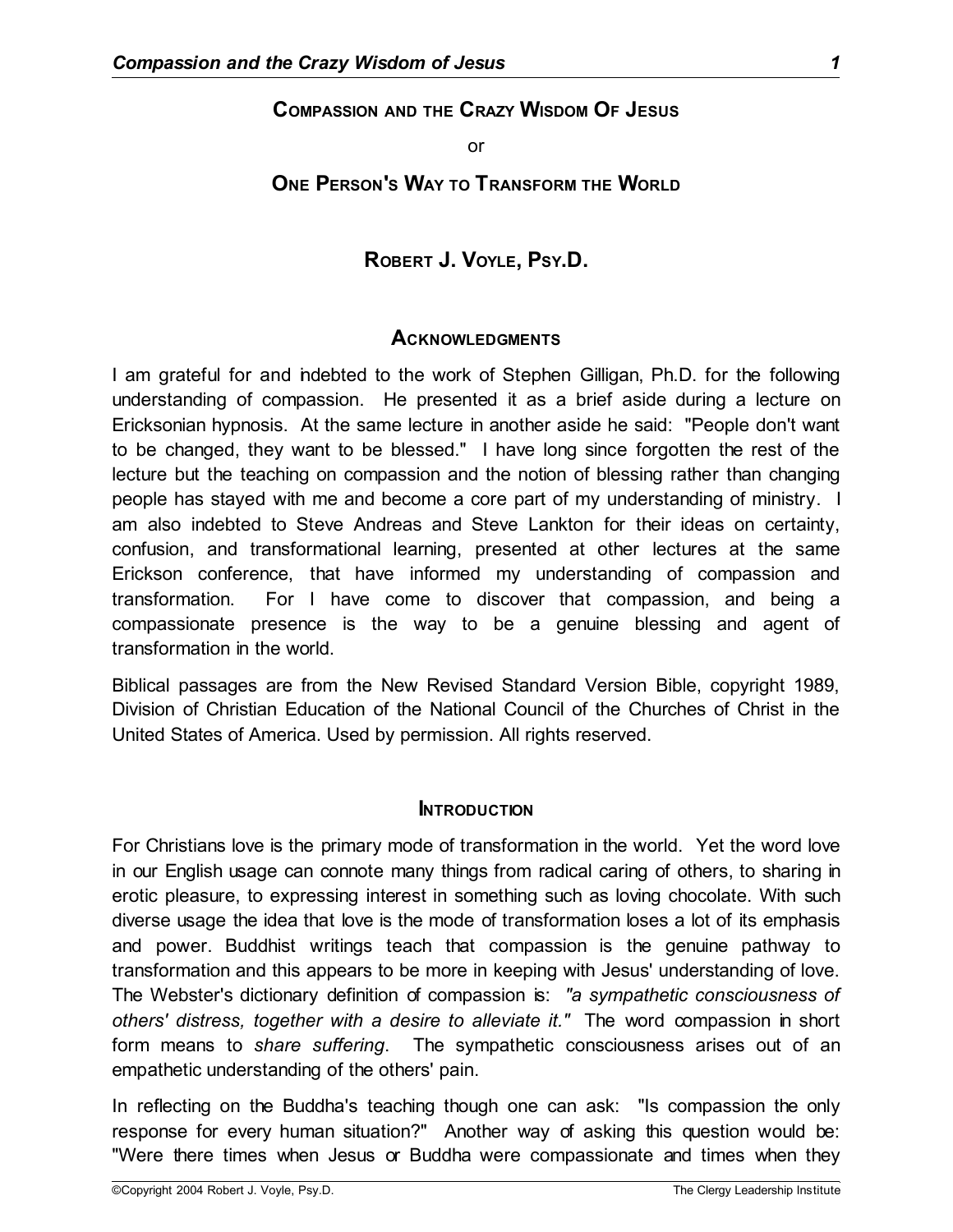### **COMPASSION AND THE CRAZY WISDOM OF JESUS**

or

# **ONE PERSON'S WAY TO TRANSFORM THE WORLD**

### **ROBERT J. VOYLE, PSY.D.**

#### **ACKNOWLEDGMENTS**

I am grateful for and indebted to the work of Stephen Gilligan, Ph.D. for the following understanding of compassion. He presented it as a brief aside during a lecture on Ericksonian hypnosis. At the same lecture in another aside he said: "People don't want to be changed, they want to be blessed." I have long since forgotten the rest of the lecture but the teaching on compassion and the notion of blessing rather than changing people has stayed with me and become a core part of my understanding of ministry. I am also indebted to Steve Andreas and Steve Lankton for their ideas on certainty, confusion, and transformational learning, presented at other lectures at the same Erickson conference, that have informed my understanding of compassion and transformation. For I have come to discover that compassion, and being a compassionate presence is the way to be a genuine blessing and agent of transformation in the world.

Biblical passages are from the New Revised Standard Version Bible, copyright 1989, Division of Christian Education of the National Council of the Churches of Christ in the United States of America. Used by permission. All rights reserved.

#### **INTRODUCTION**

For Christians love is the primary mode of transformation in the world. Yet the word love in our English usage can connote many things from radical caring of others, to sharing in erotic pleasure, to expressing interest in something such as loving chocolate. With such diverse usage the idea that love is the mode of transformation loses a lot of its emphasis and power. Buddhist writings teach that compassion is the genuine pathway to transformation and this appears to be more in keeping with Jesus' understanding of love. The Webster's dictionary definition of compassion is: *"a sympathetic consciousness of others' distress, together with a desire to alleviate it."* The word compassion in short form means to *share suffering*. The sympathetic consciousness arises out of an empathetic understanding of the others' pain.

In reflecting on the Buddha's teaching though one can ask: "Is compassion the only response for every human situation?" Another way of asking this question would be: "Were there times when Jesus or Buddha were compassionate and times when they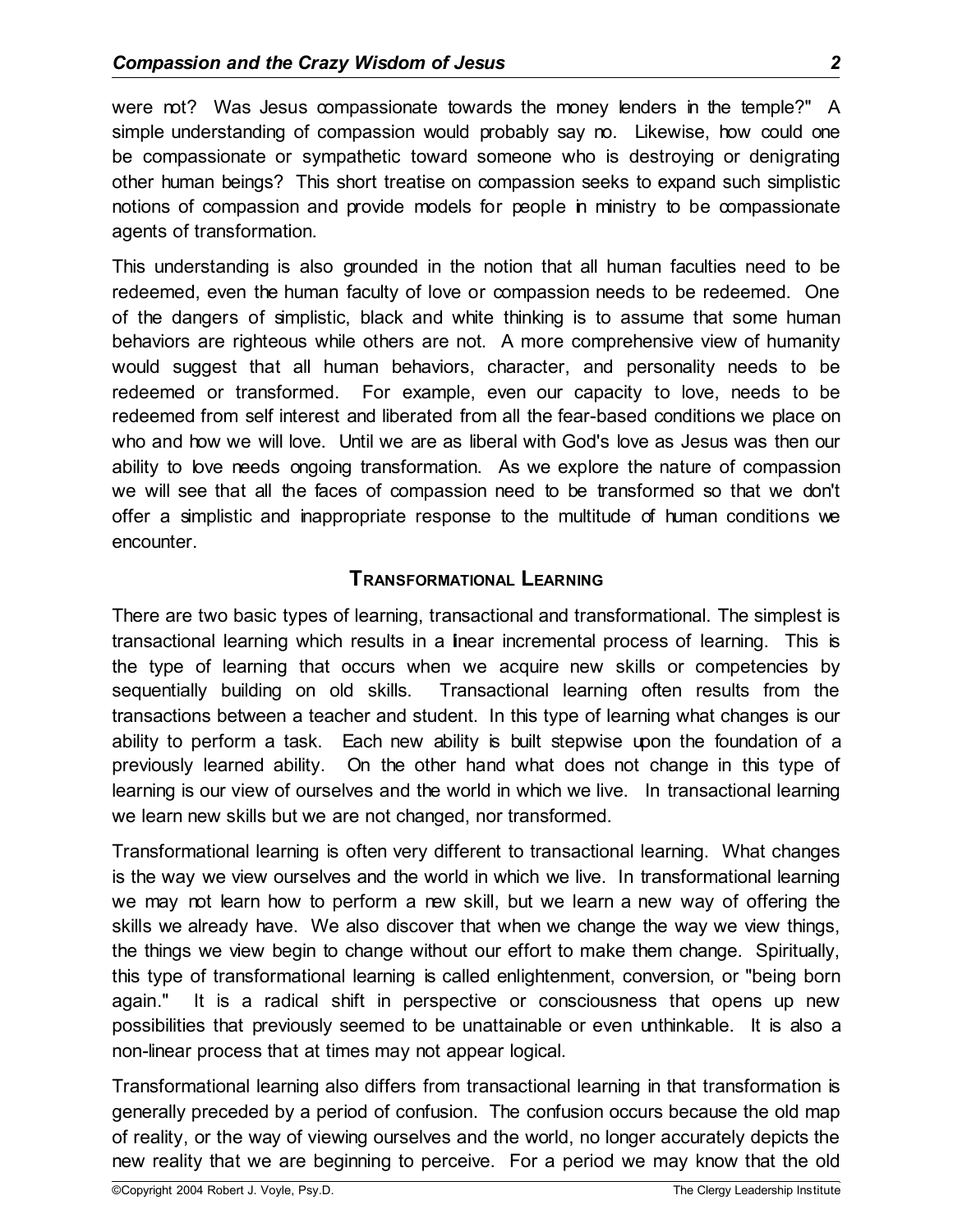were not? Was Jesus compassionate towards the money lenders in the temple?" A simple understanding of compassion would probably say no. Likewise, how could one be compassionate or sympathetic toward someone who is destroying or denigrating other human beings? This short treatise on compassion seeks to expand such simplistic notions of compassion and provide models for people in ministry to be compassionate agents of transformation.

This understanding is also grounded in the notion that all human faculties need to be redeemed, even the human faculty of love or compassion needs to be redeemed. One of the dangers of simplistic, black and white thinking is to assume that some human behaviors are righteous while others are not. A more comprehensive view of humanity would suggest that all human behaviors, character, and personality needs to be redeemed or transformed. For example, even our capacity to love, needs to be redeemed from self interest and liberated from all the fear-based conditions we place on who and how we will love. Until we are as liberal with God's love as Jesus was then our ability to love needs ongoing transformation. As we explore the nature of compassion we will see that all the faces of compassion need to be transformed so that we don't offer a simplistic and inappropriate response to the multitude of human conditions we encounter.

# **TRANSFORMATIONAL LEARNING**

There are two basic types of learning, transactional and transformational. The simplest is transactional learning which results in a linear incremental process of learning. This is the type of learning that occurs when we acquire new skills or competencies by sequentially building on old skills. Transactional learning often results from the transactions between a teacher and student. In this type of learning what changes is our ability to perform a task. Each new ability is built stepwise upon the foundation of a previously learned ability. On the other hand what does not change in this type of learning is our view of ourselves and the world in which we live. In transactional learning we learn new skills but we are not changed, nor transformed.

Transformational learning is often very different to transactional learning. What changes is the way we view ourselves and the world in which we live. In transformational learning we may not learn how to perform a new skill, but we learn a new way of offering the skills we already have. We also discover that when we change the way we view things, the things we view begin to change without our effort to make them change. Spiritually, this type of transformational learning is called enlightenment, conversion, or "being born again." It is a radical shift in perspective or consciousness that opens up new possibilities that previously seemed to be unattainable or even unthinkable. It is also a non-linear process that at times may not appear logical.

Transformational learning also differs from transactional learning in that transformation is generally preceded by a period of confusion. The confusion occurs because the old map of reality, or the way of viewing ourselves and the world, no longer accurately depicts the new reality that we are beginning to perceive. For a period we may know that the old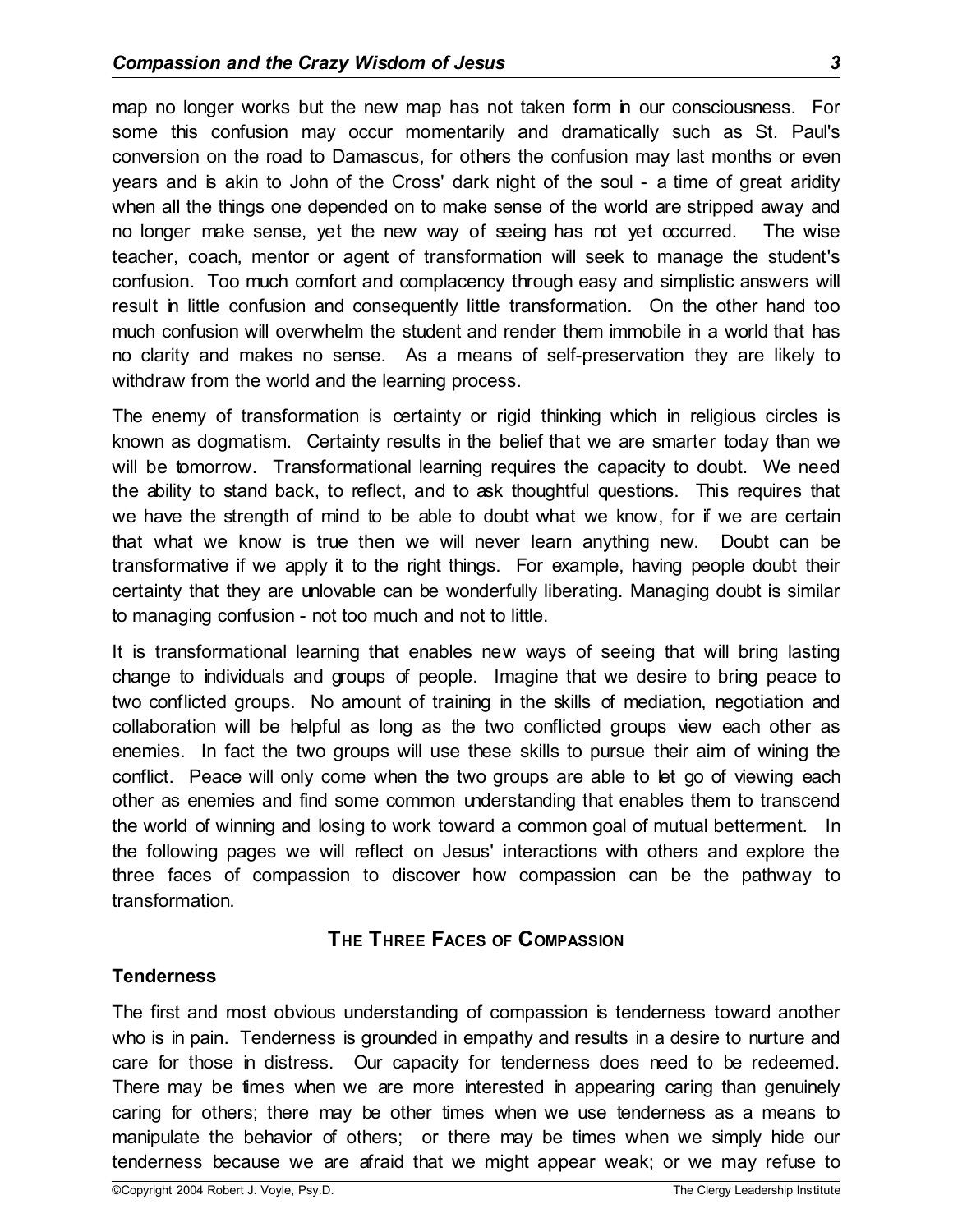map no longer works but the new map has not taken form in our consciousness. For some this confusion may occur momentarily and dramatically such as St. Paul's conversion on the road to Damascus, for others the confusion may last months or even years and is akin to John of the Cross' dark night of the soul - a time of great aridity when all the things one depended on to make sense of the world are stripped away and no longer make sense, yet the new way of seeing has not yet occurred. The wise teacher, coach, mentor or agent of transformation will seek to manage the student's confusion. Too much comfort and complacency through easy and simplistic answers will result in little confusion and consequently little transformation. On the other hand too much confusion will overwhelm the student and render them immobile in a world that has no clarity and makes no sense. As a means of self-preservation they are likely to withdraw from the world and the learning process.

The enemy of transformation is certainty or rigid thinking which in religious circles is known as dogmatism. Certainty results in the belief that we are smarter today than we will be tomorrow. Transformational learning requires the capacity to doubt. We need the ability to stand back, to reflect, and to ask thoughtful questions. This requires that we have the strength of mind to be able to doubt what we know, for if we are certain that what we know is true then we will never learn anything new. Doubt can be transformative if we apply it to the right things. For example, having people doubt their certainty that they are unlovable can be wonderfully liberating. Managing doubt is similar to managing confusion - not too much and not to little.

It is transformational learning that enables new ways of seeing that will bring lasting change to individuals and groups of people. Imagine that we desire to bring peace to two conflicted groups. No amount of training in the skills of mediation, negotiation and collaboration will be helpful as long as the two conflicted groups view each other as enemies. In fact the two groups will use these skills to pursue their aim of wining the conflict. Peace will only come when the two groups are able to let go of viewing each other as enemies and find some common understanding that enables them to transcend the world of winning and losing to work toward a common goal of mutual betterment. In the following pages we will reflect on Jesus' interactions with others and explore the three faces of compassion to discover how compassion can be the pathway to transformation.

# **THE THREE FACES OF COMPASSION**

#### **Tenderness**

The first and most obvious understanding of compassion is tenderness toward another who is in pain. Tenderness is grounded in empathy and results in a desire to nurture and care for those in distress. Our capacity for tenderness does need to be redeemed. There may be times when we are more interested in appearing caring than genuinely caring for others; there may be other times when we use tenderness as a means to manipulate the behavior of others; or there may be times when we simply hide our tenderness because we are afraid that we might appear weak; or we may refuse to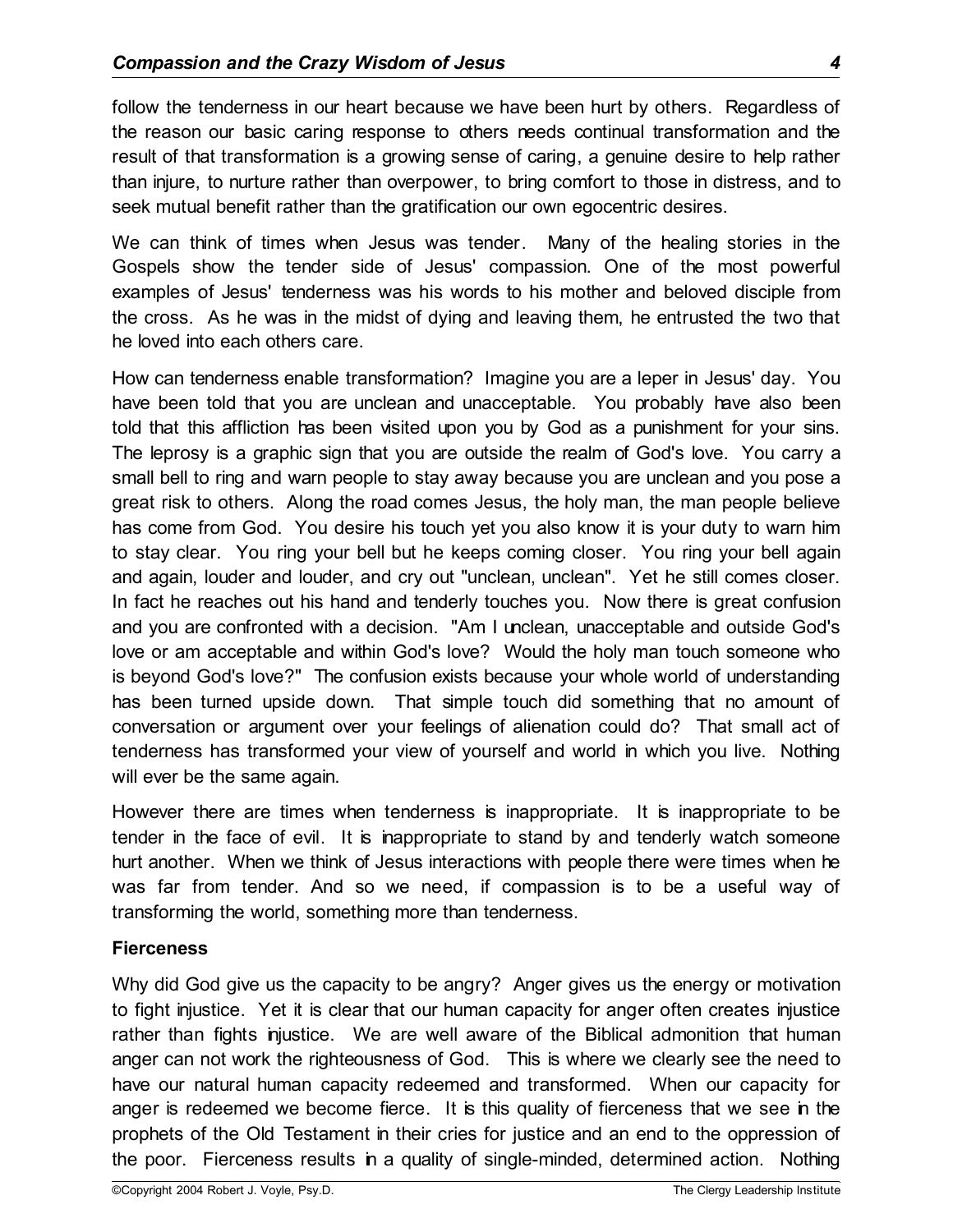follow the tenderness in our heart because we have been hurt by others. Regardless of the reason our basic caring response to others needs continual transformation and the result of that transformation is a growing sense of caring, a genuine desire to help rather than injure, to nurture rather than overpower, to bring comfort to those in distress, and to seek mutual benefit rather than the gratification our own egocentric desires.

We can think of times when Jesus was tender. Many of the healing stories in the Gospels show the tender side of Jesus' compassion. One of the most powerful examples of Jesus' tenderness was his words to his mother and beloved disciple from the cross. As he was in the midst of dying and leaving them, he entrusted the two that he loved into each others care.

How can tenderness enable transformation? Imagine you are a leper in Jesus' day. You have been told that you are unclean and unacceptable. You probably have also been told that this affliction has been visited upon you by God as a punishment for your sins. The leprosy is a graphic sign that you are outside the realm of God's love. You carry a small bell to ring and warn people to stay away because you are unclean and you pose a great risk to others. Along the road comes Jesus, the holy man, the man people believe has come from God. You desire his touch yet you also know it is your duty to warn him to stay clear. You ring your bell but he keeps coming closer. You ring your bell again and again, louder and louder, and cry out "unclean, unclean". Yet he still comes closer. In fact he reaches out his hand and tenderly touches you. Now there is great confusion and you are confronted with a decision. "Am I unclean, unacceptable and outside God's love or am acceptable and within God's love? Would the holy man touch someone who is beyond God's love?" The confusion exists because your whole world of understanding has been turned upside down. That simple touch did something that no amount of conversation or argument over your feelings of alienation could do? That small act of tenderness has transformed your view of yourself and world in which you live. Nothing will ever be the same again.

However there are times when tenderness is inappropriate. It is inappropriate to be tender in the face of evil. It is inappropriate to stand by and tenderly watch someone hurt another. When we think of Jesus interactions with people there were times when he was far from tender. And so we need, if compassion is to be a useful way of transforming the world, something more than tenderness.

#### **Fierceness**

Why did God give us the capacity to be angry? Anger gives us the energy or motivation to fight injustice. Yet it is clear that our human capacity for anger often creates injustice rather than fights injustice. We are well aware of the Biblical admonition that human anger can not work the righteousness of God. This is where we clearly see the need to have our natural human capacity redeemed and transformed. When our capacity for anger is redeemed we become fierce. It is this quality of fierceness that we see in the prophets of the Old Testament in their cries for justice and an end to the oppression of the poor. Fierceness results in a quality of single-minded, determined action. Nothing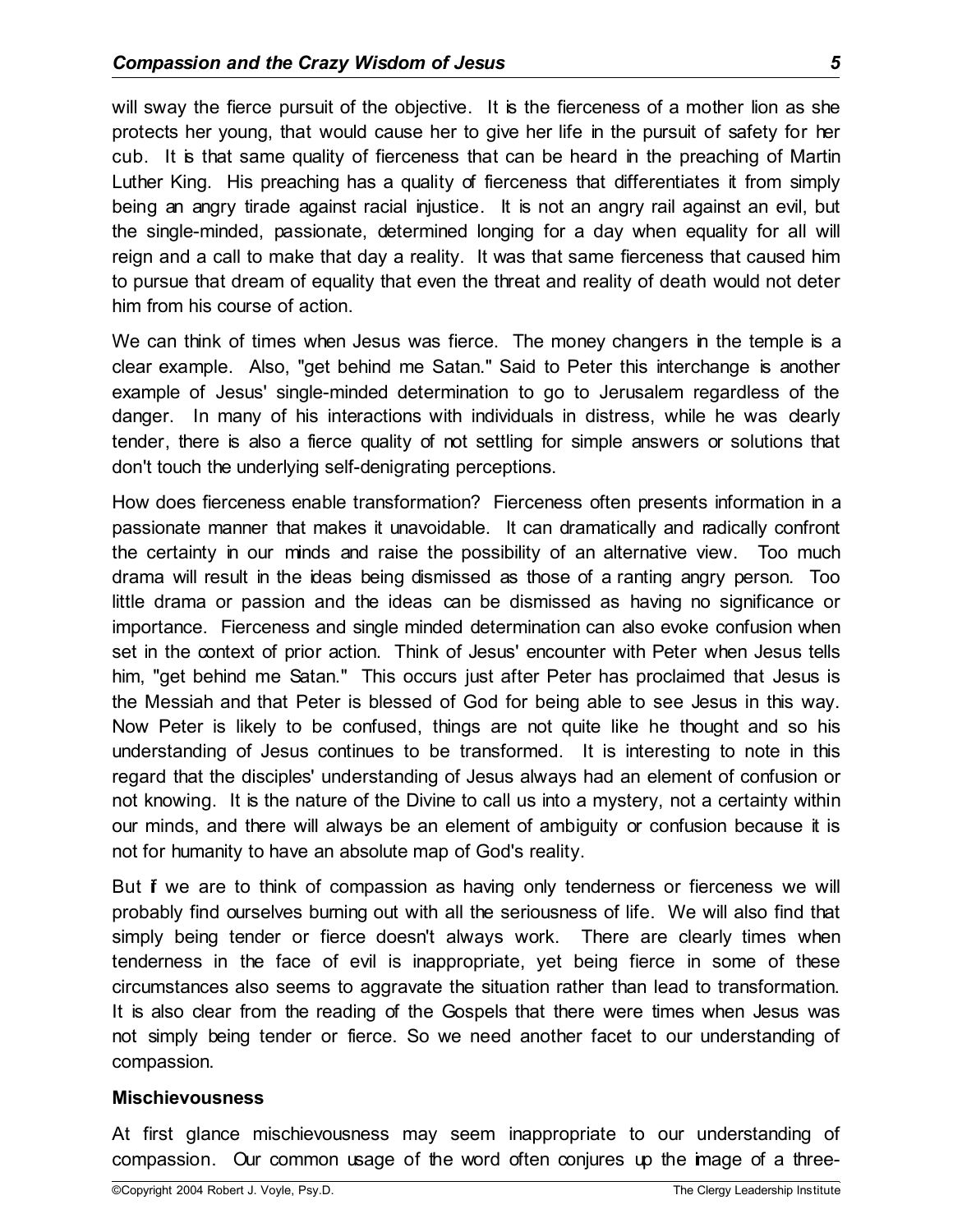will sway the fierce pursuit of the objective. It is the fierceness of a mother lion as she protects her young, that would cause her to give her life in the pursuit of safety for her cub. It is that same quality of fierceness that can be heard in the preaching of Martin Luther King. His preaching has a quality of fierceness that differentiates it from simply being an angry tirade against racial injustice. It is not an angry rail against an evil, but the single-minded, passionate, determined longing for a day when equality for all will reign and a call to make that day a reality. It was that same fierceness that caused him to pursue that dream of equality that even the threat and reality of death would not deter him from his course of action.

We can think of times when Jesus was fierce. The money changers in the temple is a clear example. Also, "get behind me Satan." Said to Peter this interchange is another example of Jesus' single-minded determination to go to Jerusalem regardless of the danger. In many of his interactions with individuals in distress, while he was clearly tender, there is also a fierce quality of not settling for simple answers or solutions that don't touch the underlying self-denigrating perceptions.

How does fierceness enable transformation? Fierceness often presents information in a passionate manner that makes it unavoidable. It can dramatically and radically confront the certainty in our minds and raise the possibility of an alternative view. Too much drama will result in the ideas being dismissed as those of a ranting angry person. Too little drama or passion and the ideas can be dismissed as having no significance or importance. Fierceness and single minded determination can also evoke confusion when set in the context of prior action. Think of Jesus' encounter with Peter when Jesus tells him, "get behind me Satan." This occurs just after Peter has proclaimed that Jesus is the Messiah and that Peter is blessed of God for being able to see Jesus in this way. Now Peter is likely to be confused, things are not quite like he thought and so his understanding of Jesus continues to be transformed. It is interesting to note in this regard that the disciples' understanding of Jesus always had an element of confusion or not knowing. It is the nature of the Divine to call us into a mystery, not a certainty within our minds, and there will always be an element of ambiguity or confusion because it is not for humanity to have an absolute map of God's reality.

But **f** we are to think of compassion as having only tenderness or fierceness we will probably find ourselves burning out with all the seriousness of life. We will also find that simply being tender or fierce doesn't always work. There are clearly times when tenderness in the face of evil is inappropriate, yet being fierce in some of these circumstances also seems to aggravate the situation rather than lead to transformation. It is also clear from the reading of the Gospels that there were times when Jesus was not simply being tender or fierce. So we need another facet to our understanding of compassion.

#### **Mischievousness**

At first glance mischievousness may seem inappropriate to our understanding of compassion. Our common usage of the word often conjures up the image of a three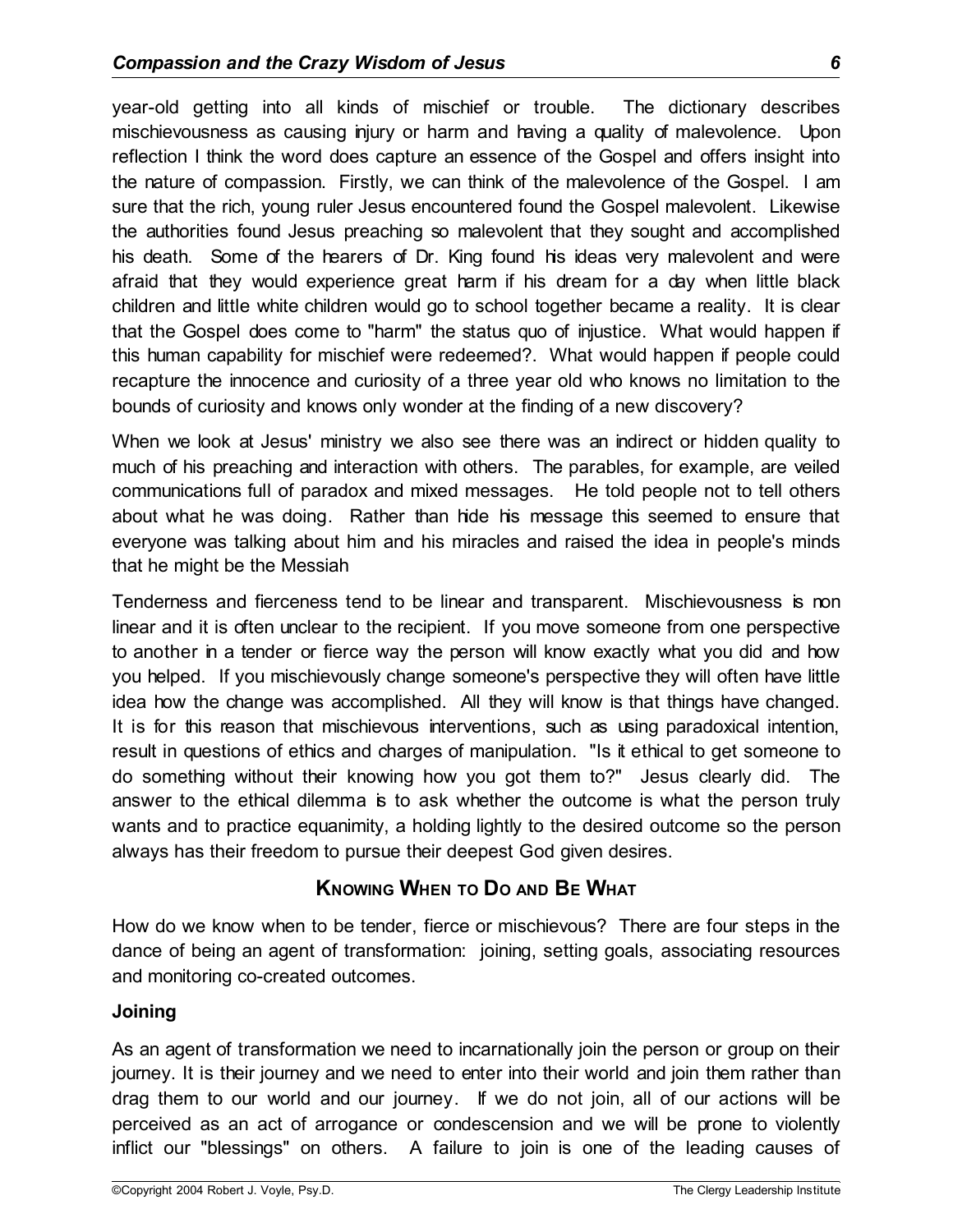year-old getting into all kinds of mischief or trouble. The dictionary describes mischievousness as causing injury or harm and having a quality of malevolence. Upon reflection I think the word does capture an essence of the Gospel and offers insight into the nature of compassion. Firstly, we can think of the malevolence of the Gospel. I am sure that the rich, young ruler Jesus encountered found the Gospel malevolent. Likewise the authorities found Jesus preaching so malevolent that they sought and accomplished his death. Some of the hearers of Dr. King found his ideas very malevolent and were afraid that they would experience great harm if his dream for a day when little black children and little white children would go to school together became a reality. It is clear that the Gospel does come to "harm" the status quo of injustice. What would happen if this human capability for mischief were redeemed?. What would happen if people could recapture the innocence and curiosity of a three year old who knows no limitation to the bounds of curiosity and knows only wonder at the finding of a new discovery?

When we look at Jesus' ministry we also see there was an indirect or hidden quality to much of his preaching and interaction with others. The parables, for example, are veiled communications full of paradox and mixed messages. He told people not to tell others about what he was doing. Rather than hide his message this seemed to ensure that everyone was talking about him and his miracles and raised the idea in people's minds that he might be the Messiah

Tenderness and fierceness tend to be linear and transparent. Mischievousness is non linear and it is often unclear to the recipient. If you move someone from one perspective to another in a tender or fierce way the person will know exactly what you did and how you helped. If you mischievously change someone's perspective they will often have little idea how the change was accomplished. All they will know is that things have changed. It is for this reason that mischievous interventions, such as using paradoxical intention, result in questions of ethics and charges of manipulation. "Is it ethical to get someone to do something without their knowing how you got them to?" Jesus clearly did. The answer to the ethical dilemma is to ask whether the outcome is what the person truly wants and to practice equanimity, a holding lightly to the desired outcome so the person always has their freedom to pursue their deepest God given desires.

# **KNOWING WHEN TO D<sup>O</sup> AND BE WHAT**

How do we know when to be tender, fierce or mischievous? There are four steps in the dance of being an agent of transformation: joining, setting goals, associating resources and monitoring co-created outcomes.

#### **Joining**

As an agent of transformation we need to incarnationally join the person or group on their journey. It is their journey and we need to enter into their world and join them rather than drag them to our world and our journey. If we do not join, all of our actions will be perceived as an act of arrogance or condescension and we will be prone to violently inflict our "blessings" on others. A failure to join is one of the leading causes of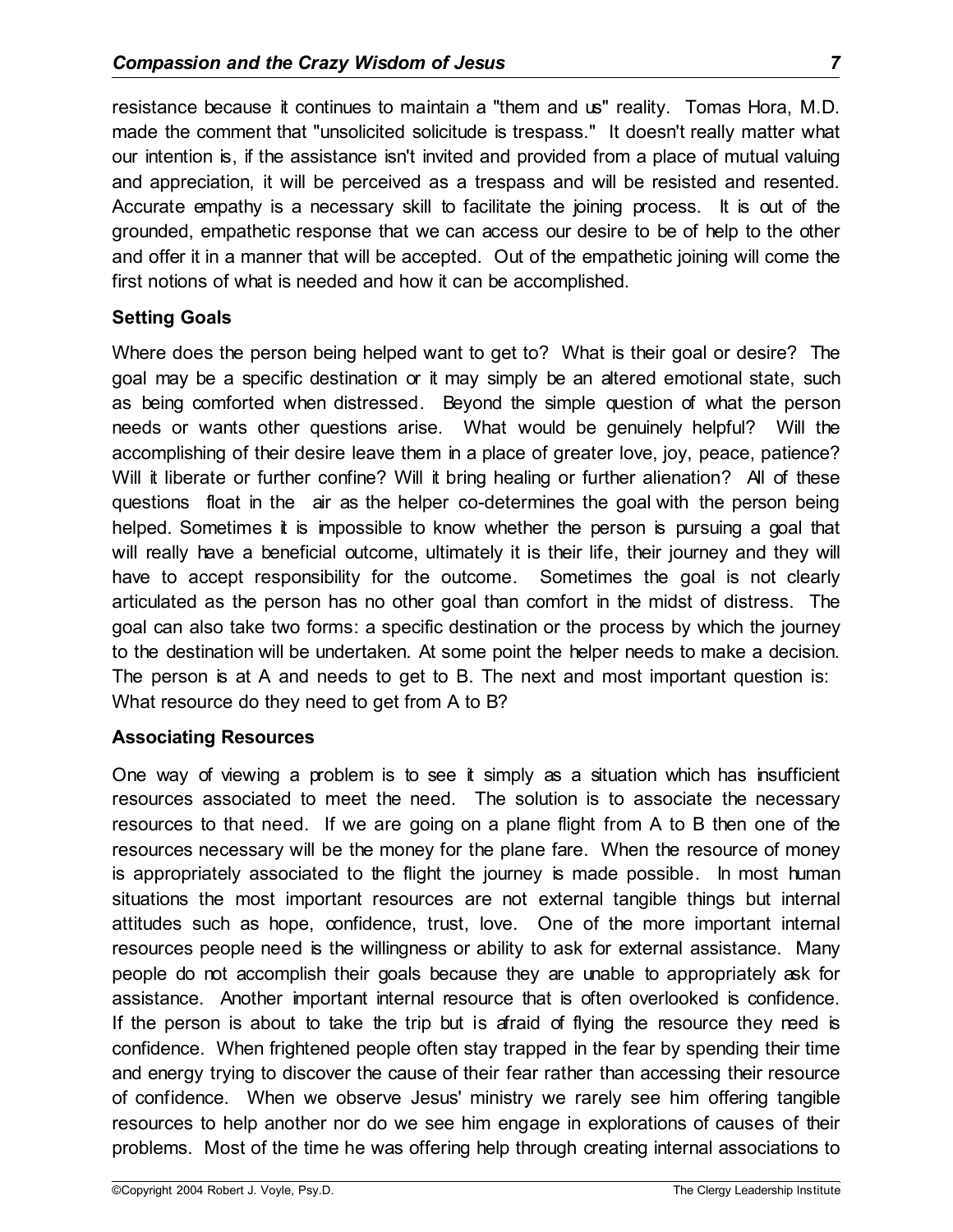resistance because it continues to maintain a "them and us" reality. Tomas Hora, M.D. made the comment that "unsolicited solicitude is trespass." It doesn't really matter what our intention is, if the assistance isn't invited and provided from a place of mutual valuing and appreciation, it will be perceived as a trespass and will be resisted and resented. Accurate empathy is a necessary skill to facilitate the joining process. It is out of the grounded, empathetic response that we can access our desire to be of help to the other and offer it in a manner that will be accepted. Out of the empathetic joining will come the first notions of what is needed and how it can be accomplished.

### **Setting Goals**

Where does the person being helped want to get to? What is their goal or desire? The goal may be a specific destination or it may simply be an altered emotional state, such as being comforted when distressed. Beyond the simple question of what the person needs or wants other questions arise. What would be genuinely helpful? Will the accomplishing of their desire leave them in a place of greater love, joy, peace, patience? Will it liberate or further confine? Will it bring healing or further alienation? All of these questions float in the air as the helper co-determines the goal with the person being helped. Sometimes it is impossible to know whether the person is pursuing a goal that will really have a beneficial outcome, ultimately it is their life, their journey and they will have to accept responsibility for the outcome. Sometimes the goal is not clearly articulated as the person has no other goal than comfort in the midst of distress. The goal can also take two forms: a specific destination or the process by which the journey to the destination will be undertaken. At some point the helper needs to make a decision. The person is at A and needs to get to B. The next and most important question is: What resource do they need to get from A to B?

# **Associating Resources**

One way of viewing a problem is to see it simply as a situation which has insufficient resources associated to meet the need. The solution is to associate the necessary resources to that need. If we are going on a plane flight from A to B then one of the resources necessary will be the money for the plane fare. When the resource of money is appropriately associated to the flight the journey is made possible. In most human situations the most important resources are not external tangible things but internal attitudes such as hope, confidence, trust, love. One of the more important internal resources people need is the willingness or ability to ask for external assistance. Many people do not accomplish their goals because they are unable to appropriately ask for assistance. Another important internal resource that is often overlooked is confidence. If the person is about to take the trip but is afraid of flying the resource they need is confidence. When frightened people often stay trapped in the fear by spending their time and energy trying to discover the cause of their fear rather than accessing their resource of confidence. When we observe Jesus' ministry we rarely see him offering tangible resources to help another nor do we see him engage in explorations of causes of their problems. Most of the time he was offering help through creating internal associations to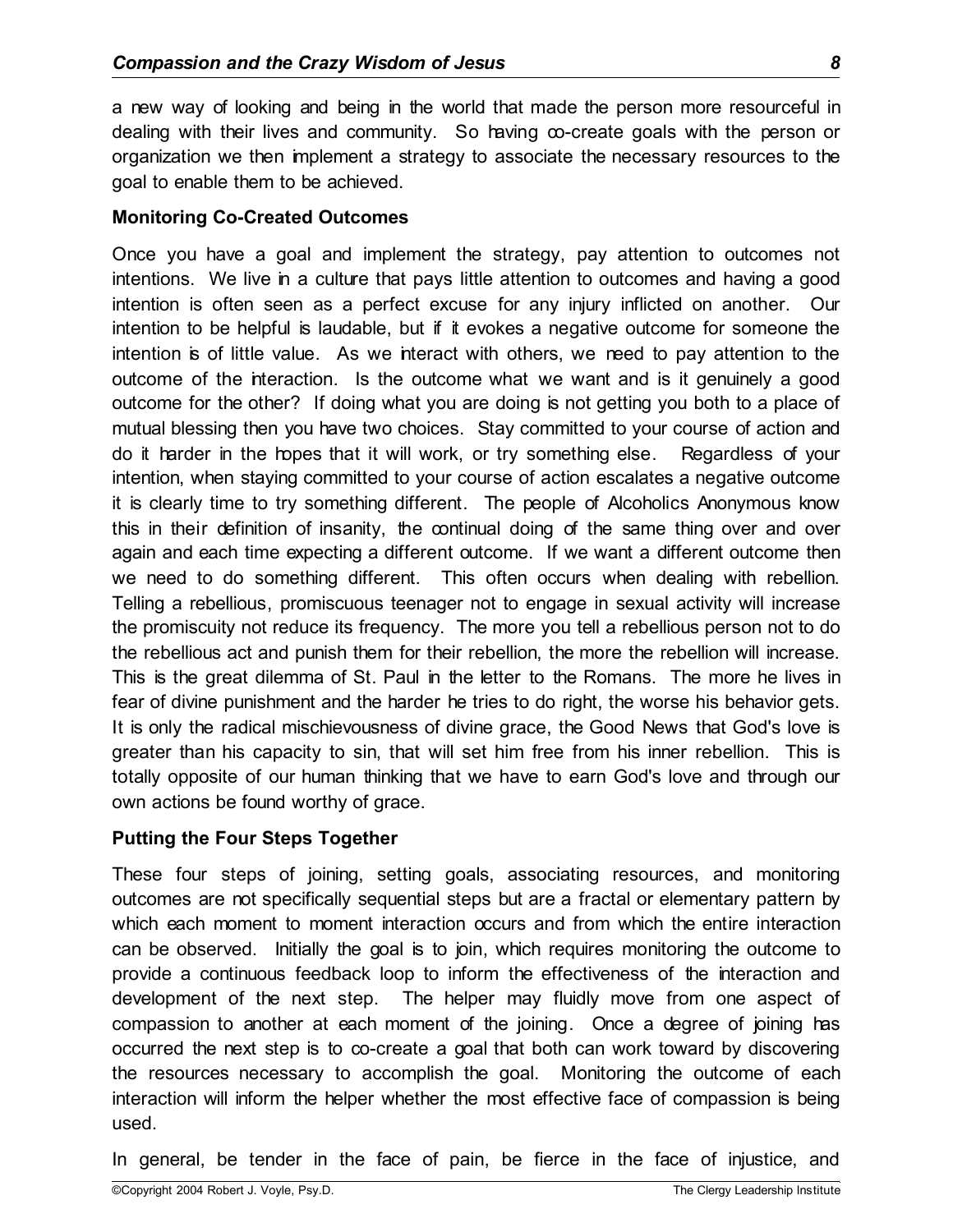a new way of looking and being in the world that made the person more resourceful in dealing with their lives and community. So having co-create goals with the person or organization we then implement a strategy to associate the necessary resources to the goal to enable them to be achieved.

#### **Monitoring Co-Created Outcomes**

Once you have a goal and implement the strategy, pay attention to outcomes not intentions. We live in a culture that pays little attention to outcomes and having a good intention is often seen as a perfect excuse for any injury inflicted on another. Our intention to be helpful is laudable, but if it evokes a negative outcome for someone the intention is of little value. As we interact with others, we need to pay attention to the outcome of the interaction. Is the outcome what we want and is it genuinely a good outcome for the other? If doing what you are doing is not getting you both to a place of mutual blessing then you have two choices. Stay committed to your course of action and do it harder in the hopes that it will work, or try something else. Regardless of your intention, when staying committed to your course of action escalates a negative outcome it is clearly time to try something different. The people of Alcoholics Anonymous know this in their definition of insanity, the continual doing of the same thing over and over again and each time expecting a different outcome. If we want a different outcome then we need to do something different. This often occurs when dealing with rebellion. Telling a rebellious, promiscuous teenager not to engage in sexual activity will increase the promiscuity not reduce its frequency. The more you tell a rebellious person not to do the rebellious act and punish them for their rebellion, the more the rebellion will increase. This is the great dilemma of St. Paul in the letter to the Romans. The more he lives in fear of divine punishment and the harder he tries to do right, the worse his behavior gets. It is only the radical mischievousness of divine grace, the Good News that God's love is greater than his capacity to sin, that will set him free from his inner rebellion. This is totally opposite of our human thinking that we have to earn God's love and through our own actions be found worthy of grace.

#### **Putting the Four Steps Together**

These four steps of joining, setting goals, associating resources, and monitoring outcomes are not specifically sequential steps but are a fractal or elementary pattern by which each moment to moment interaction occurs and from which the entire interaction can be observed. Initially the goal is to join, which requires monitoring the outcome to provide a continuous feedback loop to inform the effectiveness of the interaction and development of the next step. The helper may fluidly move from one aspect of compassion to another at each moment of the joining. Once a degree of joining has occurred the next step is to co-create a goal that both can work toward by discovering the resources necessary to accomplish the goal. Monitoring the outcome of each interaction will inform the helper whether the most effective face of compassion is being used.

In general, be tender in the face of pain, be fierce in the face of injustice, and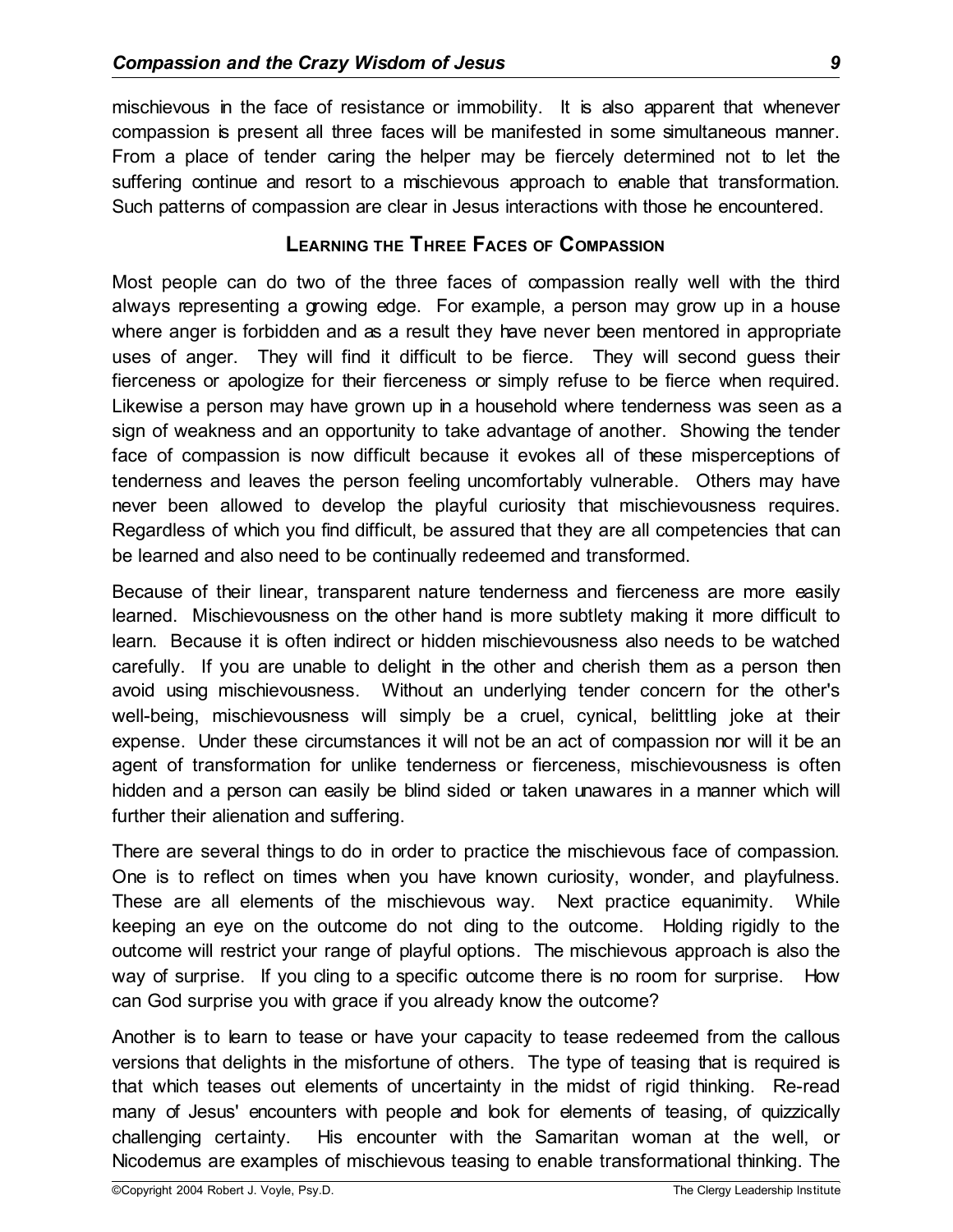mischievous in the face of resistance or immobility. It is also apparent that whenever compassion is present all three faces will be manifested in some simultaneous manner. From a place of tender caring the helper may be fiercely determined not to let the suffering continue and resort to a mischievous approach to enable that transformation. Such patterns of compassion are clear in Jesus interactions with those he encountered.

## **LEARNING THE THREE FACES OF COMPASSION**

Most people can do two of the three faces of compassion really well with the third always representing a growing edge. For example, a person may grow up in a house where anger is forbidden and as a result they have never been mentored in appropriate uses of anger. They will find it difficult to be fierce. They will second guess their fierceness or apologize for their fierceness or simply refuse to be fierce when required. Likewise a person may have grown up in a household where tenderness was seen as a sign of weakness and an opportunity to take advantage of another. Showing the tender face of compassion is now difficult because it evokes all of these misperceptions of tenderness and leaves the person feeling uncomfortably vulnerable. Others may have never been allowed to develop the playful curiosity that mischievousness requires. Regardless of which you find difficult, be assured that they are all competencies that can be learned and also need to be continually redeemed and transformed.

Because of their linear, transparent nature tenderness and fierceness are more easily learned. Mischievousness on the other hand is more subtlety making it more difficult to learn. Because it is often indirect or hidden mischievousness also needs to be watched carefully. If you are unable to delight in the other and cherish them as a person then avoid using mischievousness. Without an underlying tender concern for the other's well-being, mischievousness will simply be a cruel, cynical, belittling joke at their expense. Under these circumstances it will not be an act of compassion nor will it be an agent of transformation for unlike tenderness or fierceness, mischievousness is often hidden and a person can easily be blind sided or taken unawares in a manner which will further their alienation and suffering.

There are several things to do in order to practice the mischievous face of compassion. One is to reflect on times when you have known curiosity, wonder, and playfulness. These are all elements of the mischievous way. Next practice equanimity. While keeping an eye on the outcome do not cling to the outcome. Holding rigidly to the outcome will restrict your range of playful options. The mischievous approach is also the way of surprise. If you cling to a specific outcome there is no room for surprise. How can God surprise you with grace if you already know the outcome?

Another is to learn to tease or have your capacity to tease redeemed from the callous versions that delights in the misfortune of others. The type of teasing that is required is that which teases out elements of uncertainty in the midst of rigid thinking. Re-read many of Jesus' encounters with people and look for elements of teasing, of quizzically challenging certainty. His encounter with the Samaritan woman at the well, or Nicodemus are examples of mischievous teasing to enable transformational thinking. The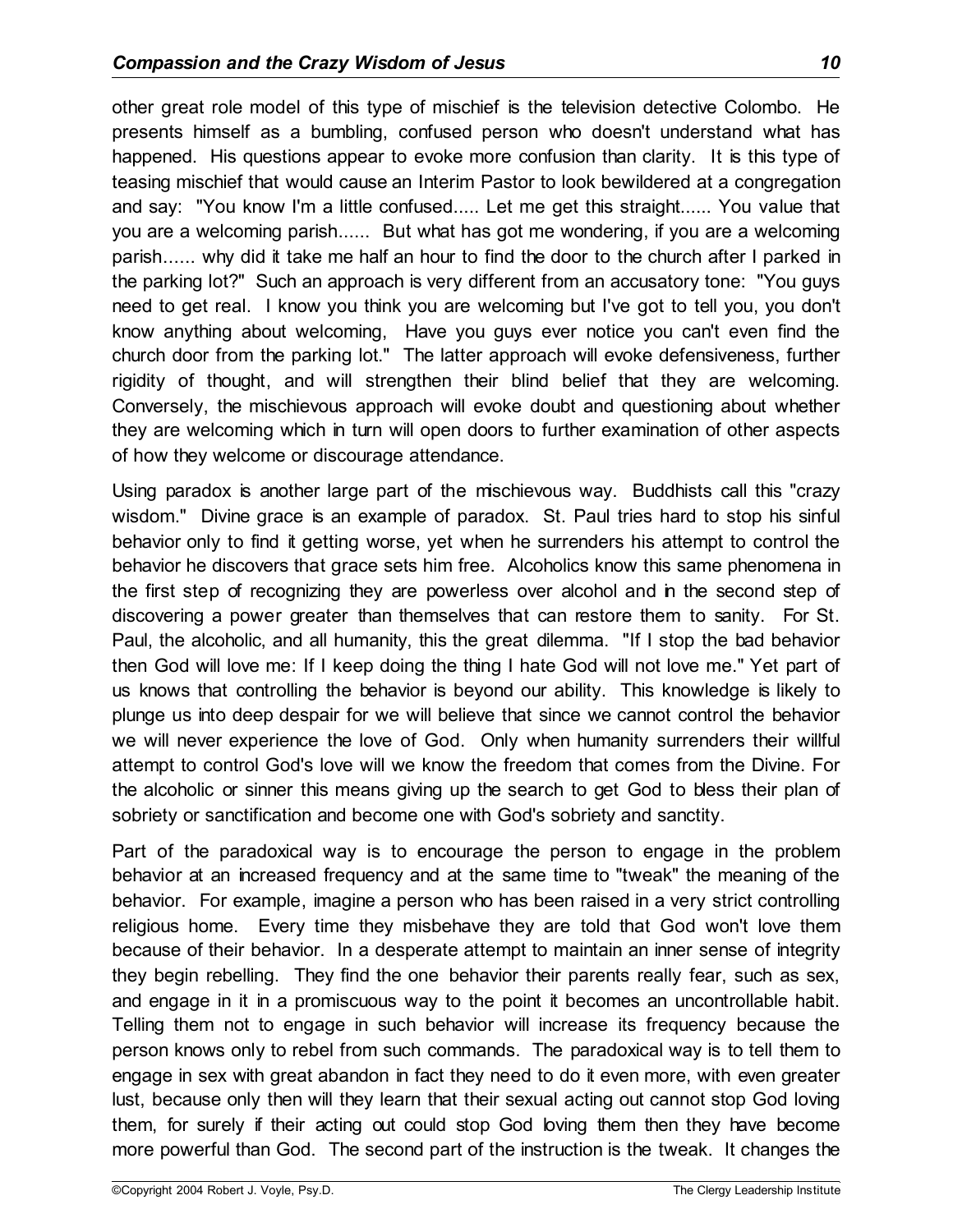other great role model of this type of mischief is the television detective Colombo. He presents himself as a bumbling, confused person who doesn't understand what has happened. His questions appear to evoke more confusion than clarity. It is this type of teasing mischief that would cause an Interim Pastor to look bewildered at a congregation and say: "You know I'm a little confused..... Let me get this straight...... You value that you are a welcoming parish...... But what has got me wondering, if you are a welcoming parish...... why did it take me half an hour to find the door to the church after I parked in the parking lot?" Such an approach is very different from an accusatory tone: "You guys need to get real. I know you think you are welcoming but I've got to tell you, you don't know anything about welcoming, Have you guys ever notice you can't even find the church door from the parking lot." The latter approach will evoke defensiveness, further rigidity of thought, and will strengthen their blind belief that they are welcoming. Conversely, the mischievous approach will evoke doubt and questioning about whether they are welcoming which in turn will open doors to further examination of other aspects of how they welcome or discourage attendance.

Using paradox is another large part of the mischievous way. Buddhists call this "crazy wisdom." Divine grace is an example of paradox. St. Paul tries hard to stop his sinful behavior only to find it getting worse, yet when he surrenders his attempt to control the behavior he discovers that grace sets him free. Alcoholics know this same phenomena in the first step of recognizing they are powerless over alcohol and in the second step of discovering a power greater than themselves that can restore them to sanity. For St. Paul, the alcoholic, and all humanity, this the great dilemma. "If I stop the bad behavior then God will love me: If I keep doing the thing I hate God will not love me." Yet part of us knows that controlling the behavior is beyond our ability. This knowledge is likely to plunge us into deep despair for we will believe that since we cannot control the behavior we will never experience the love of God. Only when humanity surrenders their willful attempt to control God's love will we know the freedom that comes from the Divine. For the alcoholic or sinner this means giving up the search to get God to bless their plan of sobriety or sanctification and become one with God's sobriety and sanctity.

Part of the paradoxical way is to encourage the person to engage in the problem behavior at an increased frequency and at the same time to "tweak" the meaning of the behavior. For example, imagine a person who has been raised in a very strict controlling religious home. Every time they misbehave they are told that God won't love them because of their behavior. In a desperate attempt to maintain an inner sense of integrity they begin rebelling. They find the one behavior their parents really fear, such as sex, and engage in it in a promiscuous way to the point it becomes an uncontrollable habit. Telling them not to engage in such behavior will increase its frequency because the person knows only to rebel from such commands. The paradoxical way is to tell them to engage in sex with great abandon in fact they need to do it even more, with even greater lust, because only then will they learn that their sexual acting out cannot stop God loving them, for surely if their acting out could stop God loving them then they have become more powerful than God. The second part of the instruction is the tweak. It changes the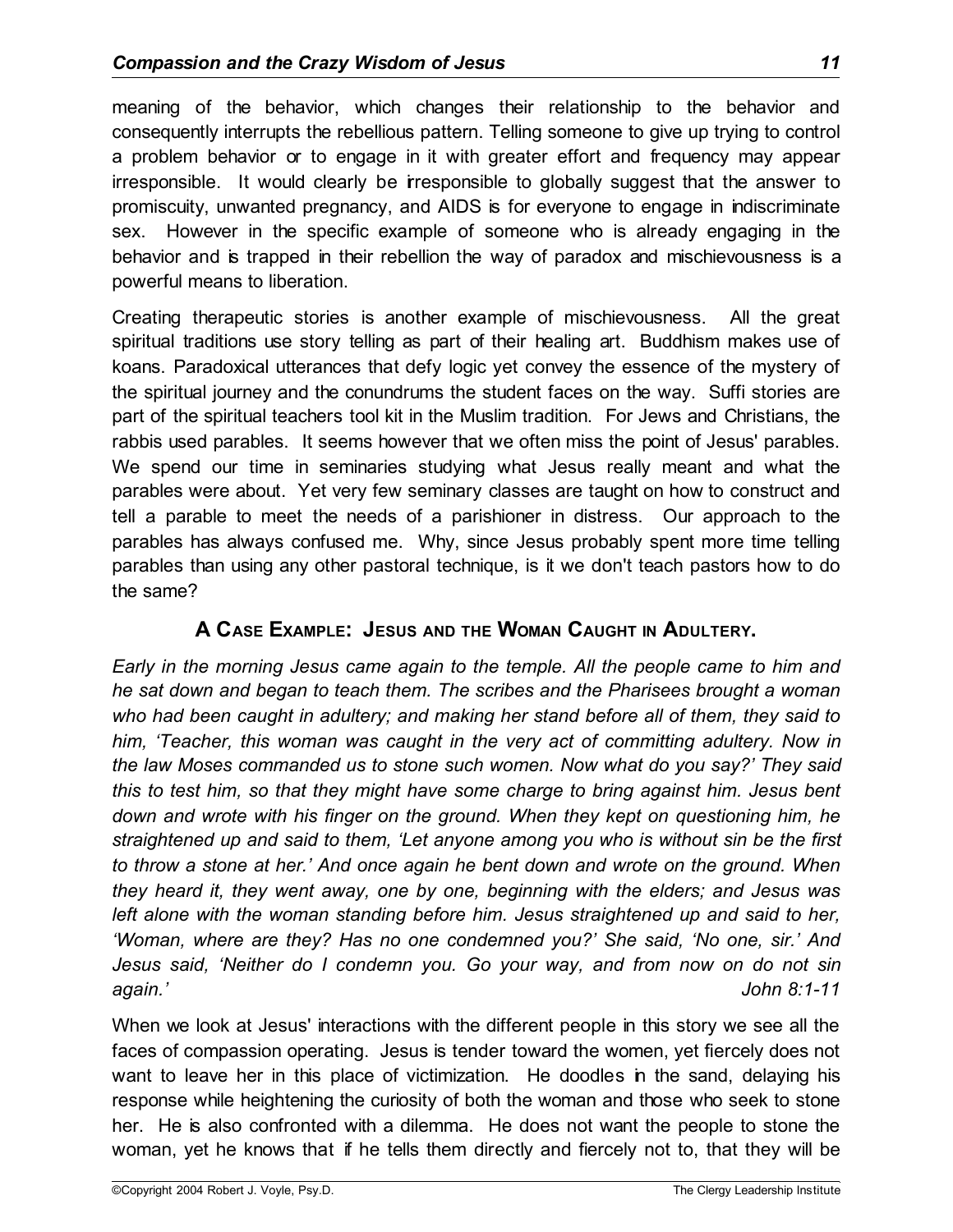meaning of the behavior, which changes their relationship to the behavior and consequently interrupts the rebellious pattern. Telling someone to give up trying to control a problem behavior or to engage in it with greater effort and frequency may appear irresponsible. It would clearly be irresponsible to globally suggest that the answer to promiscuity, unwanted pregnancy, and AIDS is for everyone to engage in indiscriminate sex. However in the specific example of someone who is already engaging in the behavior and is trapped in their rebellion the way of paradox and mischievousness is a powerful means to liberation.

Creating therapeutic stories is another example of mischievousness. All the great spiritual traditions use story telling as part of their healing art. Buddhism makes use of koans. Paradoxical utterances that defy logic yet convey the essence of the mystery of the spiritual journey and the conundrums the student faces on the way. Suffi stories are part of the spiritual teachers tool kit in the Muslim tradition. For Jews and Christians, the rabbis used parables. It seems however that we often miss the point of Jesus' parables. We spend our time in seminaries studying what Jesus really meant and what the parables were about. Yet very few seminary classes are taught on how to construct and tell a parable to meet the needs of a parishioner in distress. Our approach to the parables has always confused me. Why, since Jesus probably spent more time telling parables than using any other pastoral technique, is it we don't teach pastors how to do the same?

# **A CASE EXAMPLE: JESUS AND THE WOMAN CAUGHT IN ADULTERY.**

*Early in the morning Jesus came again to the temple. All the people came to him and he sat down and began to teach them. The scribes and the Pharisees brought a woman who had been caught in adultery; and making her stand before all of them, they said to him, 'Teacher, this woman was caught in the very act of committing adultery. Now in the law Moses commanded us to stone such women. Now what do you say?' They said this to test him, so that they might have some charge to bring against him. Jesus bent down and wrote with his finger on the ground. When they kept on questioning him, he straightened up and said to them, 'Let anyone among you who is without sin be the first to throw a stone at her.' And once again he bent down and wrote on the ground. When they heard it, they went away, one by one, beginning with the elders; and Jesus was left alone with the woman standing before him. Jesus straightened up and said to her, 'Woman, where are they? Has no one condemned you?' She said, 'No one, sir.' And Jesus said, 'Neither do I condemn you. Go your way, and from now on do not sin again.' John 8:1-11*

When we look at Jesus' interactions with the different people in this story we see all the faces of compassion operating. Jesus is tender toward the women, yet fiercely does not want to leave her in this place of victimization. He doodles in the sand, delaying his response while heightening the curiosity of both the woman and those who seek to stone her. He is also confronted with a dilemma. He does not want the people to stone the woman, yet he knows that if he tells them directly and fiercely not to, that they will be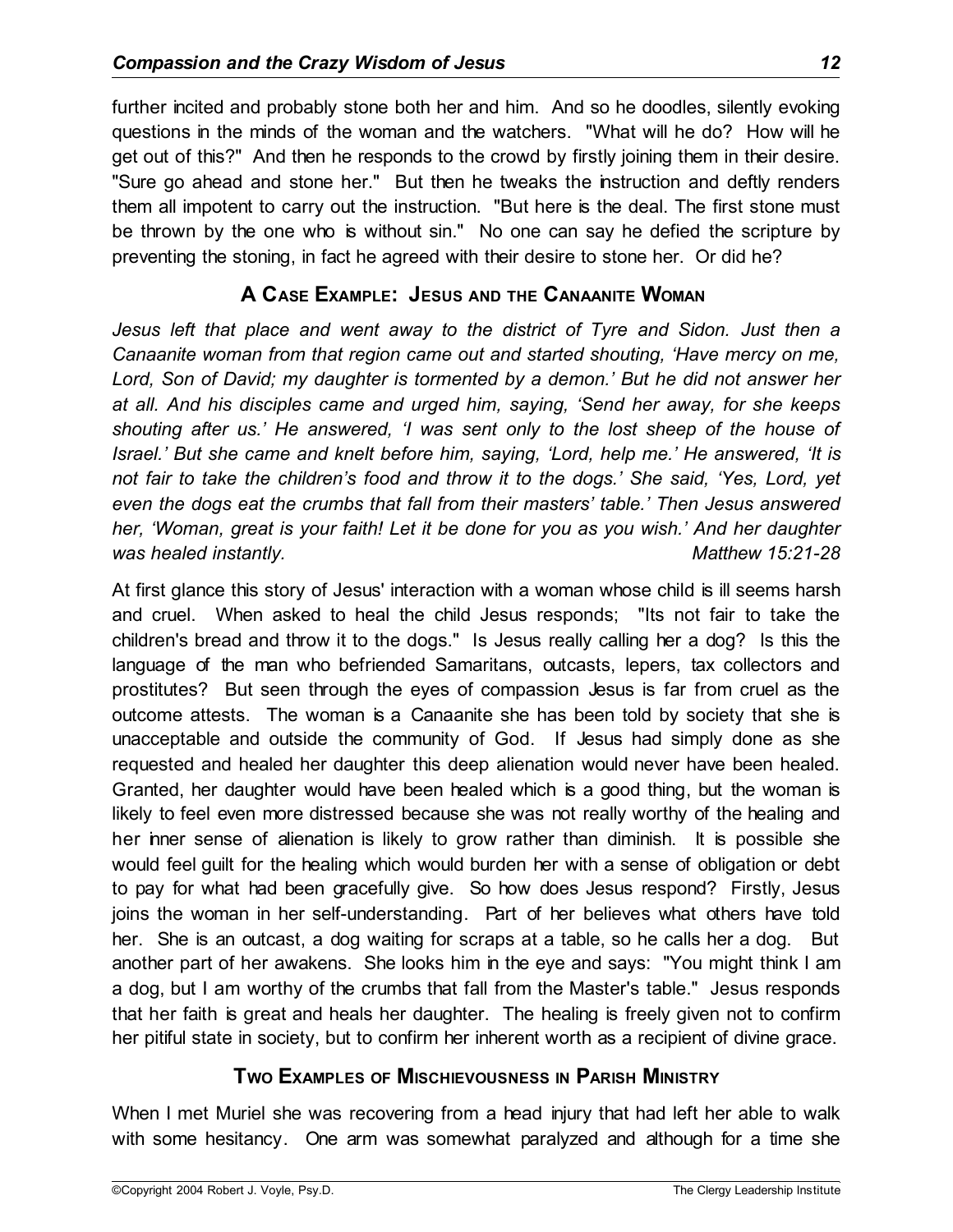further incited and probably stone both her and him. And so he doodles, silently evoking questions in the minds of the woman and the watchers. "What will he do? How will he get out of this?" And then he responds to the crowd by firstly joining them in their desire. "Sure go ahead and stone her." But then he tweaks the instruction and deftly renders them all impotent to carry out the instruction. "But here is the deal. The first stone must be thrown by the one who is without sin." No one can say he defied the scripture by preventing the stoning, in fact he agreed with their desire to stone her. Or did he?

# **A CASE EXAMPLE: JESUS AND THE CANAANITE WOMAN**

*Jesus left that place and went away to the district of Tyre and Sidon. Just then a Canaanite woman from that region came out and started shouting, 'Have mercy on me, Lord, Son of David; my daughter is tormented by a demon.' But he did not answer her at all. And his disciples came and urged him, saying, 'Send her away, for she keeps shouting after us.' He answered, 'I was sent only to the lost sheep of the house of Israel.' But she came and knelt before him, saying, 'Lord, help me.' He answered, 'It is not fair to take the children's food and throw it to the dogs.' She said, 'Yes, Lord, yet even the dogs eat the crumbs that fall from their masters' table.' Then Jesus answered her, 'Woman, great is your faith! Let it be done for you as you wish.' And her daughter was healed instantly. Matthew 15:21-28*

At first glance this story of Jesus' interaction with a woman whose child is ill seems harsh and cruel. When asked to heal the child Jesus responds; "Its not fair to take the children's bread and throw it to the dogs." Is Jesus really calling her a dog? Is this the language of the man who befriended Samaritans, outcasts, lepers, tax collectors and prostitutes? But seen through the eyes of compassion Jesus is far from cruel as the outcome attests. The woman is a Canaanite she has been told by society that she is unacceptable and outside the community of God. If Jesus had simply done as she requested and healed her daughter this deep alienation would never have been healed. Granted, her daughter would have been healed which is a good thing, but the woman is likely to feel even more distressed because she was not really worthy of the healing and her inner sense of alienation is likely to grow rather than diminish. It is possible she would feel guilt for the healing which would burden her with a sense of obligation or debt to pay for what had been gracefully give. So how does Jesus respond? Firstly, Jesus joins the woman in her self-understanding. Part of her believes what others have told her. She is an outcast, a dog waiting for scraps at a table, so he calls her a dog. But another part of her awakens. She looks him in the eye and says: "You might think I am a dog, but I am worthy of the crumbs that fall from the Master's table." Jesus responds that her faith is great and heals her daughter. The healing is freely given not to confirm her pitiful state in society, but to confirm her inherent worth as a recipient of divine grace.

# **TWO EXAMPLES OF MISCHIEVOUSNESS IN PARISH MINISTRY**

When I met Muriel she was recovering from a head injury that had left her able to walk with some hesitancy. One arm was somewhat paralyzed and although for a time she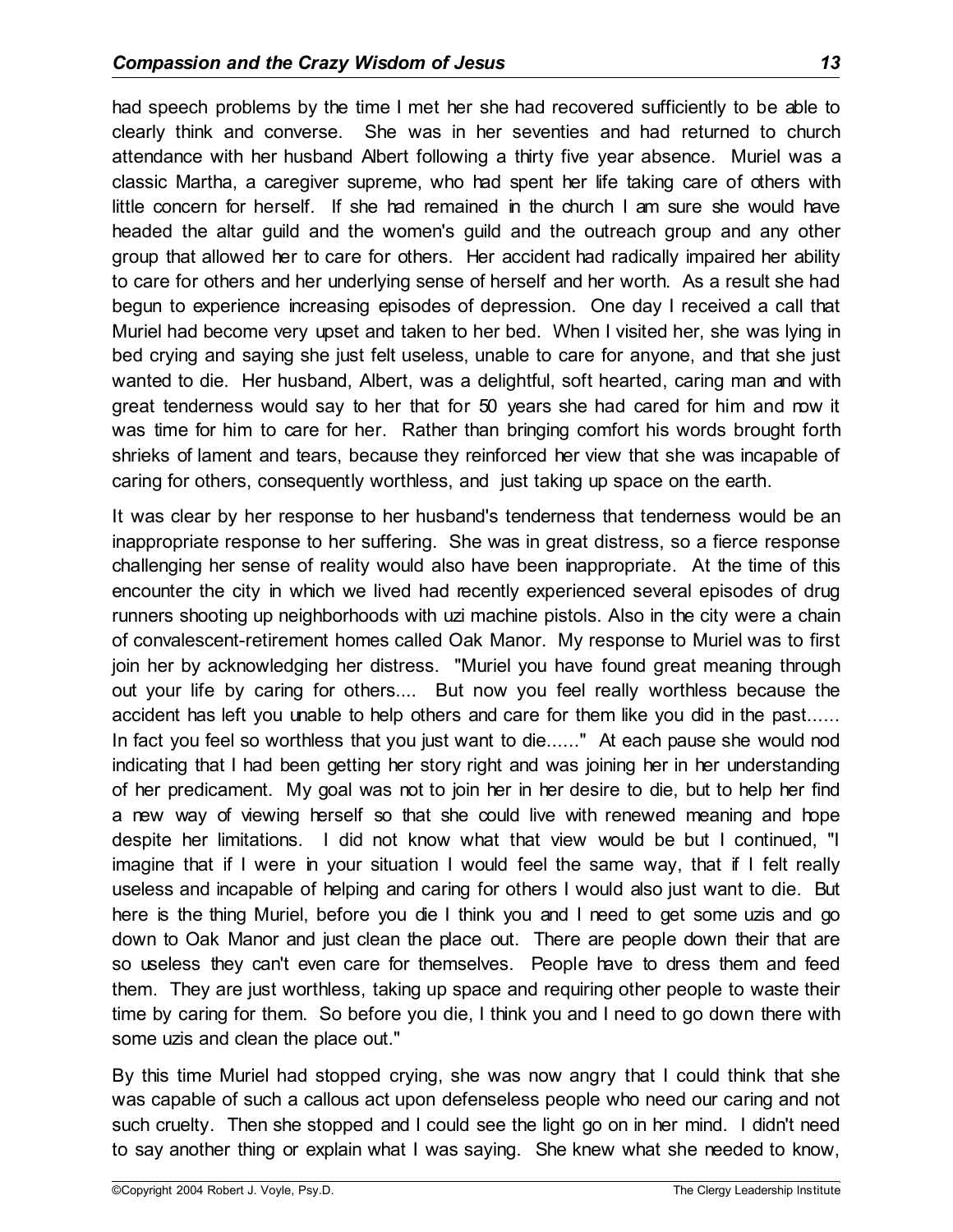had speech problems by the time I met her she had recovered sufficiently to be able to clearly think and converse. She was in her seventies and had returned to church attendance with her husband Albert following a thirty five year absence. Muriel was a classic Martha, a caregiver supreme, who had spent her life taking care of others with little concern for herself. If she had remained in the church I am sure she would have headed the altar guild and the women's guild and the outreach group and any other group that allowed her to care for others. Her accident had radically impaired her ability to care for others and her underlying sense of herself and her worth. As a result she had begun to experience increasing episodes of depression. One day I received a call that Muriel had become very upset and taken to her bed. When I visited her, she was lying in bed crying and saying she just felt useless, unable to care for anyone, and that she just wanted to die. Her husband, Albert, was a delightful, soft hearted, caring man and with great tenderness would say to her that for 50 years she had cared for him and now it was time for him to care for her. Rather than bringing comfort his words brought forth shrieks of lament and tears, because they reinforced her view that she was incapable of caring for others, consequently worthless, and just taking up space on the earth.

It was clear by her response to her husband's tenderness that tenderness would be an inappropriate response to her suffering. She was in great distress, so a fierce response challenging her sense of reality would also have been inappropriate. At the time of this encounter the city in which we lived had recently experienced several episodes of drug runners shooting up neighborhoods with uzi machine pistols. Also in the city were a chain of convalescent-retirement homes called Oak Manor. My response to Muriel was to first join her by acknowledging her distress. "Muriel you have found great meaning through out your life by caring for others.... But now you feel really worthless because the accident has left you unable to help others and care for them like you did in the past...... In fact you feel so worthless that you just want to die......" At each pause she would nod indicating that I had been getting her story right and was joining her in her understanding of her predicament. My goal was not to join her in her desire to die, but to help her find a new way of viewing herself so that she could live with renewed meaning and hope despite her limitations. I did not know what that view would be but I continued, "I imagine that if I were in your situation I would feel the same way, that if I felt really useless and incapable of helping and caring for others I would also just want to die. But here is the thing Muriel, before you die I think you and I need to get some uzis and go down to Oak Manor and just clean the place out. There are people down their that are so useless they can't even care for themselves. People have to dress them and feed them. They are just worthless, taking up space and requiring other people to waste their time by caring for them. So before you die, I think you and I need to go down there with some uzis and clean the place out."

By this time Muriel had stopped crying, she was now angry that I could think that she was capable of such a callous act upon defenseless people who need our caring and not such cruelty. Then she stopped and I could see the light go on in her mind. I didn't need to say another thing or explain what I was saying. She knew what she needed to know,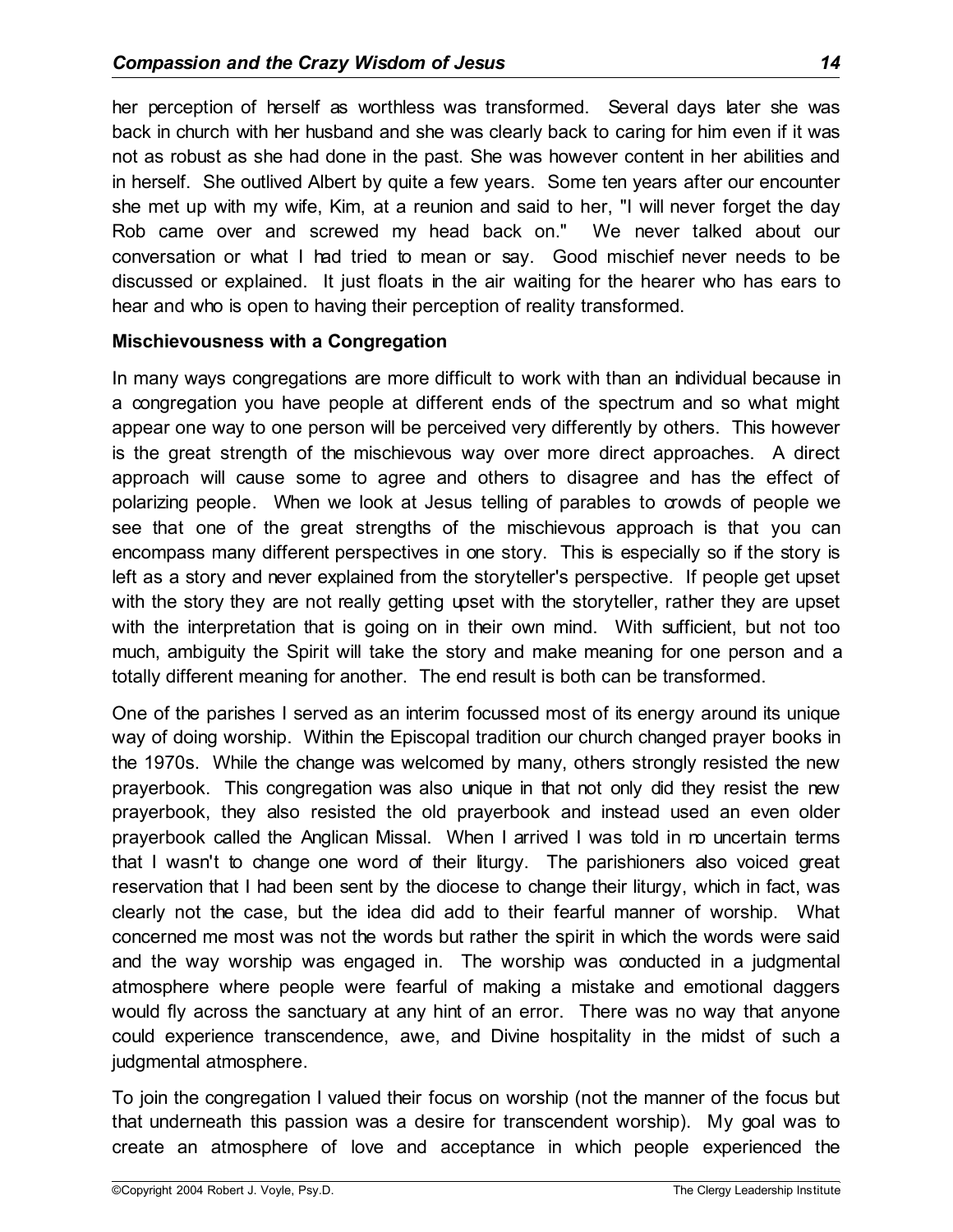her perception of herself as worthless was transformed. Several days later she was back in church with her husband and she was clearly back to caring for him even if it was not as robust as she had done in the past. She was however content in her abilities and in herself. She outlived Albert by quite a few years. Some ten years after our encounter she met up with my wife, Kim, at a reunion and said to her, "I will never forget the day Rob came over and screwed my head back on." We never talked about our conversation or what I had tried to mean or say. Good mischief never needs to be discussed or explained. It just floats in the air waiting for the hearer who has ears to hear and who is open to having their perception of reality transformed.

### **Mischievousness with a Congregation**

In many ways congregations are more difficult to work with than an individual because in a congregation you have people at different ends of the spectrum and so what might appear one way to one person will be perceived very differently by others. This however is the great strength of the mischievous way over more direct approaches. A direct approach will cause some to agree and others to disagree and has the effect of polarizing people. When we look at Jesus telling of parables to crowds of people we see that one of the great strengths of the mischievous approach is that you can encompass many different perspectives in one story. This is especially so if the story is left as a story and never explained from the storyteller's perspective. If people get upset with the story they are not really getting upset with the storyteller, rather they are upset with the interpretation that is going on in their own mind. With sufficient, but not too much, ambiguity the Spirit will take the story and make meaning for one person and a totally different meaning for another. The end result is both can be transformed.

One of the parishes I served as an interim focussed most of its energy around its unique way of doing worship. Within the Episcopal tradition our church changed prayer books in the 1970s. While the change was welcomed by many, others strongly resisted the new prayerbook. This congregation was also unique in that not only did they resist the new prayerbook, they also resisted the old prayerbook and instead used an even older prayerbook called the Anglican Missal. When I arrived I was told in no uncertain terms that I wasn't to change one word of their liturgy. The parishioners also voiced great reservation that I had been sent by the diocese to change their liturgy, which in fact, was clearly not the case, but the idea did add to their fearful manner of worship. What concerned me most was not the words but rather the spirit in which the words were said and the way worship was engaged in. The worship was conducted in a judgmental atmosphere where people were fearful of making a mistake and emotional daggers would fly across the sanctuary at any hint of an error. There was no way that anyone could experience transcendence, awe, and Divine hospitality in the midst of such a judgmental atmosphere.

To join the congregation I valued their focus on worship (not the manner of the focus but that underneath this passion was a desire for transcendent worship). My goal was to create an atmosphere of love and acceptance in which people experienced the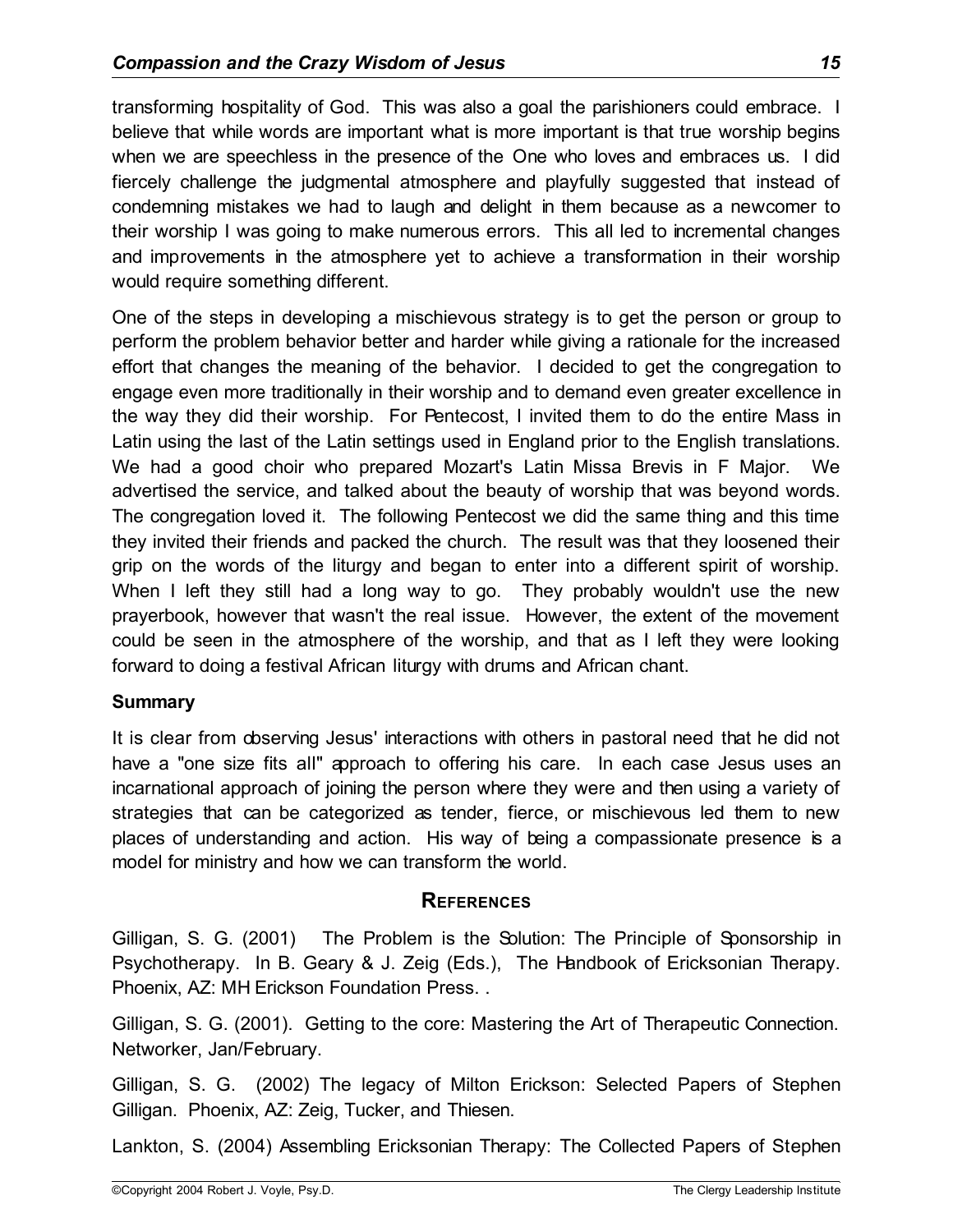transforming hospitality of God. This was also a goal the parishioners could embrace. I believe that while words are important what is more important is that true worship begins when we are speechless in the presence of the One who loves and embraces us. I did fiercely challenge the judgmental atmosphere and playfully suggested that instead of condemning mistakes we had to laugh and delight in them because as a newcomer to their worship I was going to make numerous errors. This all led to incremental changes and improvements in the atmosphere yet to achieve a transformation in their worship would require something different.

One of the steps in developing a mischievous strategy is to get the person or group to perform the problem behavior better and harder while giving a rationale for the increased effort that changes the meaning of the behavior. I decided to get the congregation to engage even more traditionally in their worship and to demand even greater excellence in the way they did their worship. For Pentecost, I invited them to do the entire Mass in Latin using the last of the Latin settings used in England prior to the English translations. We had a good choir who prepared Mozart's Latin Missa Brevis in F Major. We advertised the service, and talked about the beauty of worship that was beyond words. The congregation loved it. The following Pentecost we did the same thing and this time they invited their friends and packed the church. The result was that they loosened their grip on the words of the liturgy and began to enter into a different spirit of worship. When I left they still had a long way to go. They probably wouldn't use the new prayerbook, however that wasn't the real issue. However, the extent of the movement could be seen in the atmosphere of the worship, and that as I left they were looking forward to doing a festival African liturgy with drums and African chant.

# **Summary**

It is clear from observing Jesus' interactions with others in pastoral need that he did not have a "one size fits all" approach to offering his care. In each case Jesus uses an incarnational approach of joining the person where they were and then using a variety of strategies that can be categorized as tender, fierce, or mischievous led them to new places of understanding and action. His way of being a compassionate presence is a model for ministry and how we can transform the world.

#### **REFERENCES**

Gilligan, S. G. (2001) The Problem is the Solution: The Principle of Sponsorship in Psychotherapy. In B. Geary & J. Zeig (Eds.), The Handbook of Ericksonian Therapy. Phoenix, AZ: MH Erickson Foundation Press. .

Gilligan, S. G. (2001). Getting to the core: Mastering the Art of Therapeutic Connection. Networker, Jan/February.

Gilligan, S. G. (2002) The legacy of Milton Erickson: Selected Papers of Stephen Gilligan. Phoenix, AZ: Zeig, Tucker, and Thiesen.

Lankton, S. (2004) Assembling Ericksonian Therapy: The Collected Papers of Stephen